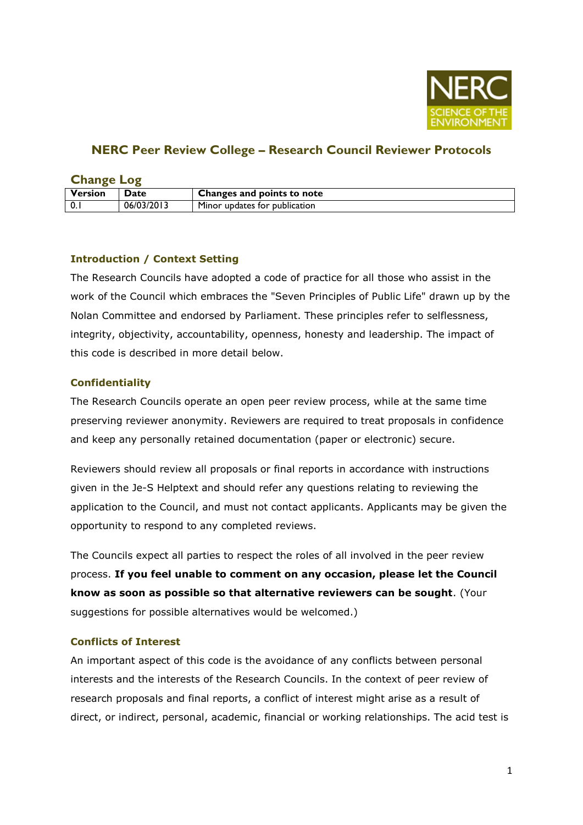

# **NERC Peer Review College – Research Council Reviewer Protocols**

| <b>Change Log</b> |             |                               |
|-------------------|-------------|-------------------------------|
| Version           | <b>Date</b> | Changes and points to note    |
| $\mathbf{0}$ .    | 06/03/2013  | Minor updates for publication |

## **Introduction / Context Setting**

The Research Councils have adopted a code of practice for all those who assist in the work of the Council which embraces the "Seven Principles of Public Life" drawn up by the Nolan Committee and endorsed by Parliament. These principles refer to selflessness, integrity, objectivity, accountability, openness, honesty and leadership. The impact of this code is described in more detail below.

## **Confidentiality**

The Research Councils operate an open peer review process, while at the same time preserving reviewer anonymity. Reviewers are required to treat proposals in confidence and keep any personally retained documentation (paper or electronic) secure.

Reviewers should review all proposals or final reports in accordance with instructions given in the Je-S Helptext and should refer any questions relating to reviewing the application to the Council, and must not contact applicants. Applicants may be given the opportunity to respond to any completed reviews.

The Councils expect all parties to respect the roles of all involved in the peer review process. **If you feel unable to comment on any occasion, please let the Council know as soon as possible so that alternative reviewers can be sought**. (Your suggestions for possible alternatives would be welcomed.)

## **Conflicts of Interest**

An important aspect of this code is the avoidance of any conflicts between personal interests and the interests of the Research Councils. In the context of peer review of research proposals and final reports, a conflict of interest might arise as a result of direct, or indirect, personal, academic, financial or working relationships. The acid test is